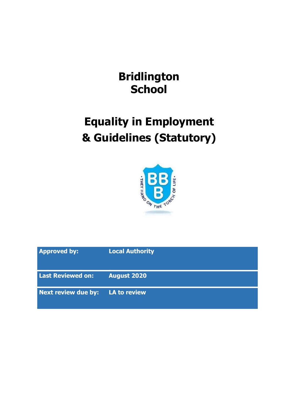## **Bridlington School**

# **Equality in Employment & Guidelines (Statutory)**



| <b>Approved by:</b>      | <b>Local Authority</b> |
|--------------------------|------------------------|
| <b>Last Reviewed on:</b> | <b>August 2020</b>     |
| Next review due by:      | LA to review           |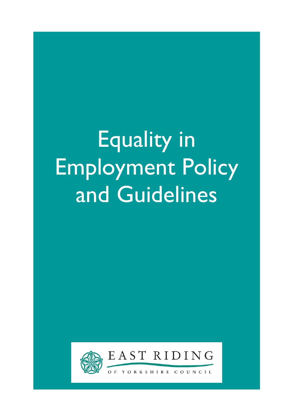# Equality in Employment Policy and Guidelines



EAST RIDING

YORKSHIRE  $O F$  $C$  O U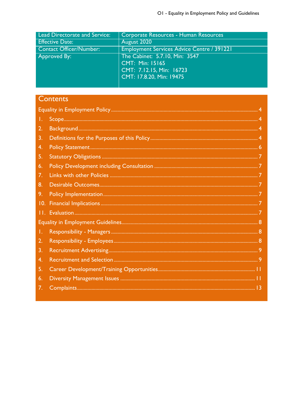| <b>Lead Directorate and Service:</b> | Corporate Resources - Human Resources             |
|--------------------------------------|---------------------------------------------------|
| <b>Effective Date:</b>               | August 2020                                       |
| <b>Contact Officer/Number:</b>       | <b>Employment Services Advice Centre / 391221</b> |
| Approved By:                         | The Cabinet: 5.7.10, Min: 3547                    |
|                                      | CMT: Min: 15165                                   |
|                                      | CMT: 7.12.15, Min: 16723                          |
|                                      | CMT: 17.8.20, Min: 19475                          |
|                                      |                                                   |

### Contents

| Τ.  |  |  |  |
|-----|--|--|--|
| 2.  |  |  |  |
| 3.  |  |  |  |
| 4.  |  |  |  |
| 5.  |  |  |  |
| 6.  |  |  |  |
| 7.  |  |  |  |
| 8.  |  |  |  |
| 9.  |  |  |  |
| 10. |  |  |  |
| П.  |  |  |  |
|     |  |  |  |
| Τ.  |  |  |  |
| 2.  |  |  |  |
| 3.  |  |  |  |
| 4.  |  |  |  |
| 5.  |  |  |  |
| 6.  |  |  |  |
| 7.  |  |  |  |
|     |  |  |  |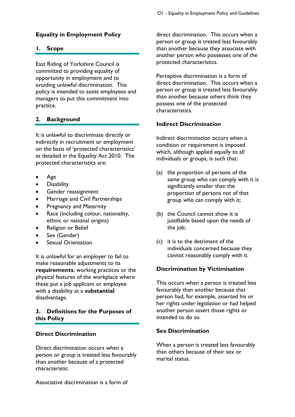#### <span id="page-3-0"></span>**Equality in Employment Policy**

#### <span id="page-3-1"></span>**1. Scope**

East Riding of Yorkshire Council is committed to providing equality of opportunity in employment and to avoiding unlawful discrimination. This policy is intended to assist employees and managers to put this commitment into practice.

#### <span id="page-3-2"></span>**2. Background**

It is unlawful to discriminate directly or indirectly in recruitment or employment on the basis of 'protected characteristics' as detailed in the Equality Act 2010. The protected characteristics are:

- Age
- **Disability**
- Gender reassignment
- Marriage and Civil Partnerships
- Pregnancy and Maternity
- Race (including colour, nationality, ethnic or national origins)
- Religion or Belief
- Sex (Gender)
- Sexual Orientation

It is unlawful for an employer to fail to make reasonable adjustments to its **requirements**, working practices or the physical features of the workplace where these put a job applicant or employee with a disability at a **substantial** disadvantage.

#### <span id="page-3-3"></span>**3. Definitions for the Purposes of this Policy**

#### **Direct Discrimination**

Direct discrimination occurs when a person or group is treated less favourably than another because of a protected characteristic.

Associative discrimination is a form of

direct discrimination. This occurs when a person or group is treated less favourably than another because they associate with another person who possesses one of the protected characteristics.

Perceptive discrimination is a form of direct discrimination. This occurs when a person or group is treated less favourably than another because others think they possess one of the protected characteristics.

#### **Indirect Discrimination**

Indirect discrimination occurs when a condition or requirement is imposed which, although applied equally to all individuals or groups, is such that:

- (a) the proportion of persons of the same group who can comply with it is significantly smaller than the proportion of persons not of that group who can comply with it;
- (b) the Council cannot show it is justifiable based upon the needs of the job;
- (c) it is to the detriment of the individuals concerned because they cannot reasonably comply with it.

#### **Discrimination by Victimisation**

This occurs when a person is treated less favourably than another because that person had, for example, asserted his or her rights under legislation or had helped another person assert those rights or intended to do so.

#### **Sex Discrimination**

When a person is treated less favourably than others because of their sex or marital status.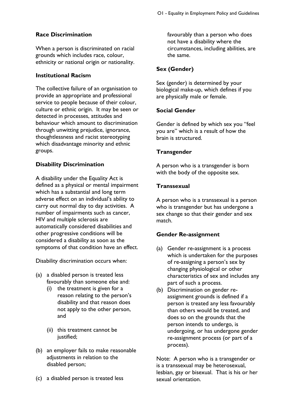#### **Race Discrimination**

When a person is discriminated on racial grounds which includes race, colour, ethnicity or national origin or nationality.

#### **Institutional Racism**

The collective failure of an organisation to provide an appropriate and professional service to people because of their colour, culture or ethnic origin. It may be seen or detected in processes, attitudes and behaviour which amount to discrimination through unwitting prejudice, ignorance, thoughtlessness and racist stereotyping which disadvantage minority and ethnic groups.

#### **Disability Discrimination**

A disability under the Equality Act is defined as a physical or mental impairment which has a substantial and long term adverse effect on an individual's ability to carry out normal day to day activities. A number of impairments such as cancer, HIV and multiple sclerosis are automatically considered disabilities and other progressive conditions will be considered a disability as soon as the symptoms of that condition have an effect.

Disability discrimination occurs when:

- (a) a disabled person is treated less favourably than someone else and:
	- (i) the treatment is given for a reason relating to the person's disability and that reason does not apply to the other person, and
	- (ii) this treatment cannot be justified;
- (b) an employer fails to make reasonable adjustments in relation to the disabled person;
- (c) a disabled person is treated less

favourably than a person who does not have a disability where the circumstances, including abilities, are the same.

#### **Sex (Gender)**

Sex (gender) is determined by your biological make-up, which defines if you are physically male or female.

#### **Social Gender**

Gender is defined by which sex you "feel you are" which is a result of how the brain is structured.

#### **Transgender**

A person who is a transgender is born with the body of the opposite sex.

#### **Transsexual**

A person who is a transsexual is a person who is transgender but has undergone a sex change so that their gender and sex match.

#### **Gender Re-assignment**

- (a) Gender re-assignment is a process which is undertaken for the purposes of re-assigning a person's sex by changing physiological or other characteristics of sex and includes any part of such a process.
- (b) Discrimination on gender reassignment grounds is defined if a person is treated any less favourably than others would be treated, and does so on the grounds that the person intends to undergo, is undergoing, or has undergone gender re-assignment process (or part of a process).

Note: A person who is a transgender or is a transsexual may be heterosexual, lesbian, gay or bisexual. That is his or her sexual orientation.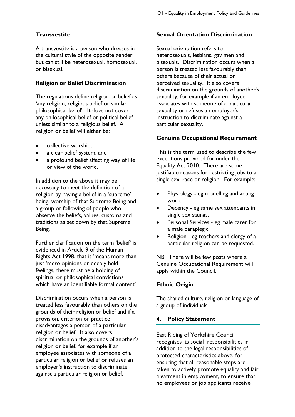#### **Transvestite**

A transvestite is a person who dresses in the cultural style of the opposite gender, but can still be heterosexual, homosexual, or bisexual.

#### **Religion or Belief Discrimination**

The regulations define religion or belief as 'any religion, religious belief or similar philosophical belief'. It does not cover any philosophical belief or political belief unless similar to a religious belief. A religion or belief will either be:

- collective worship;
- a clear belief system, and
- a profound belief affecting way of life or view of the world.

In addition to the above it may be necessary to meet the definition of a religion by having a belief in a 'supreme' being, worship of that Supreme Being and a group or following of people who observe the beliefs, values, customs and traditions as set down by that Supreme Being.

Further clarification on the term 'belief' is evidenced in Article 9 of the Human Rights Act 1998, that it 'means more than just 'mere opinions or deeply held feelings, there must be a holding of spiritual or philosophical convictions which have an identifiable formal content'

Discrimination occurs when a person is treated less favourably than others on the grounds of their religion or belief and if a provision, criterion or practice disadvantages a person of a particular religion or belief. It also covers discrimination on the grounds of another's religion or belief, for example if an employee associates with someone of a particular religion or belief or refuses an employer's instruction to discriminate against a particular religion or belief.

#### **Sexual Orientation Discrimination**

Sexual orientation refers to heterosexuals, lesbians, gay men and bisexuals. Discrimination occurs when a person is treated less favourably than others because of their actual or perceived sexuality. It also covers discrimination on the grounds of another's sexuality, for example if an employee associates with someone of a particular sexuality or refuses an employer's instruction to discriminate against a particular sexuality.

#### **Genuine Occupational Requirement**

This is the term used to describe the few exceptions provided for under the Equality Act 2010. There are some justifiable reasons for restricting jobs to a single sex, race or religion. For example:

- Physiology eg modelling and acting work.
- Decency eg same sex attendants in single sex saunas.
- Personal Services eg male carer for a male paraplegic
- Religion eg teachers and clergy of a particular religion can be requested.

NB: There will be few posts where a Genuine Occupational Requirement will apply within the Council.

#### **Ethnic Origin**

The shared culture, religion or language of a group of individuals.

#### <span id="page-5-0"></span>**4. Policy Statement**

East Riding of Yorkshire Council recognises its social responsibilities in addition to the legal responsibilities of protected characteristics above, for ensuring that all reasonable steps are taken to actively promote equality and fair treatment in employment, to ensure that no employees or job applicants receive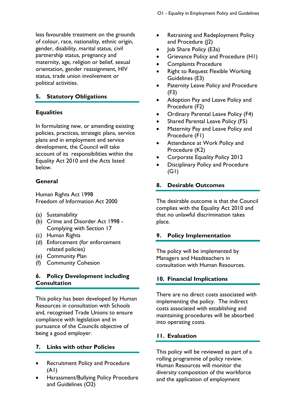less favourable treatment on the grounds of colour, race, nationality, ethnic origin, gender, disability, marital status, civil partnership status, pregnancy and maternity, age, religion or belief, sexual orientation, gender reassignment, HIV status, trade union involvement or political activities.

#### <span id="page-6-0"></span>**5. Statutory Obligations**

#### **Equalities**

In formulating new, or amending existing policies, practices, strategic plans, service plans and in employment and service development, the Council will take account of its responsibilities within the Equality Act 2010 and the Acts listed below.

#### **General**

Human Rights Act 1998 Freedom of Information Act 2000

- (a) Sustainability
- (b) Crime and Disorder Act 1998 Complying with Section 17
- (c) Human Rights
- (d) Enforcement (for enforcement related policies)
- (e) Community Plan
- (f) Community Cohesion

#### <span id="page-6-1"></span>**6. Policy Development including Consultation**

This policy has been developed by Human Resources in consultation with Schools and, recognised Trade Unions to ensure compliance with legislation and in pursuance of the Councils objective of being a good employer.

#### <span id="page-6-2"></span>**7. Links with other Policies**

- Recruitment Policy and Procedure (A1)
- Harassment/Bullying Policy Procedure and Guidelines (O2)
- Retraining and Redeployment Policy and Procedure (J2)
- Job Share Policy (E3a)
- Grievance Policy and Procedure (H1)
- Complaints Procedure
- Right to Request Flexible Working Guidelines (E3)
- Paternity Leave Policy and Procedure (F3)
- Adoption Pay and Leave Policy and Procedure (F2)
- Ordinary Parental Leave Policy (F4)
- Shared Parental Leave Policy (F5)
- Maternity Pay and Leave Policy and Procedure (F1)
- Attendance at Work Policy and Procedure (K2)
- Corporate Equality Policy 2012
- Disciplinary Policy and Procedure  $(GI)$

#### <span id="page-6-3"></span>**8. Desirable Outcomes**

The desirable outcome is that the Council complies with the Equality Act 2010 and that no unlawful discrimination takes place.

#### <span id="page-6-4"></span>**9. Policy Implementation**

The policy will be implemented by Managers and Headteachers in consultation with Human Resources.

#### <span id="page-6-5"></span>**10. Financial Implications**

There are no direct costs associated with implementing the policy. The indirect costs associated with establishing and maintaining procedures will be absorbed into operating costs.

#### <span id="page-6-6"></span>**11. Evaluation**

This policy will be reviewed as part of a rolling programme of policy review. Human Resources will monitor the diversity composition of the workforce and the application of employment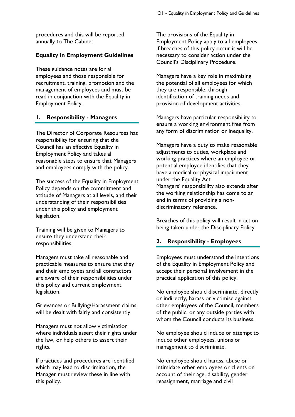procedures and this will be reported annually to The Cabinet.

#### <span id="page-7-0"></span>**Equality in Employment Guidelines**

These guidance notes are for all employees and those responsible for recruitment, training, promotion and the management of employees and must be read in conjunction with the Equality in Employment Policy.

#### <span id="page-7-1"></span>**1. Responsibility - Managers**

The Director of Corporate Resources has responsibility for ensuring that the Council has an effective Equality in Employment Policy and takes all reasonable steps to ensure that Managers and employees comply with the policy.

The success of the Equality in Employment Policy depends on the commitment and attitude of Managers at all levels, and their understanding of their responsibilities under this policy and employment legislation.

Training will be given to Managers to ensure they understand their responsibilities.

Managers must take all reasonable and practicable measures to ensure that they and their employees and all contractors are aware of their responsibilities under this policy and current employment legislation.

Grievances or Bullying/Harassment claims will be dealt with fairly and consistently.

Managers must not allow victimisation where individuals assert their rights under the law, or help others to assert their rights.

If practices and procedures are identified which may lead to discrimination, the Manager must review these in line with this policy.

The provisions of the Equality in Employment Policy apply to all employees. If breaches of this policy occur it will be necessary to consider action under the Council's Disciplinary Procedure.

Managers have a key role in maximising the potential of all employees for which they are responsible, through identification of training needs and provision of development activities.

Managers have particular responsibility to ensure a working environment free from any form of discrimination or inequality.

Managers have a duty to make reasonable adjustments to duties, workplace and working practices where an employee or potential employee identifies that they have a medical or physical impairment under the Equality Act. Managers' responsibility also extends after the working relationship has come to an end in terms of providing a nondiscriminatory reference.

Breaches of this policy will result in action being taken under the Disciplinary Policy.

#### <span id="page-7-2"></span>**2. Responsibility - Employees**

Employees must understand the intentions of the Equality in Employment Policy and accept their personal involvement in the practical application of this policy.

No employee should discriminate, directly or indirectly, harass or victimise against other employees of the Council, members of the public, or any outside parties with whom the Council conducts its business.

No employee should induce or attempt to induce other employees, unions or management to discriminate.

No employee should harass, abuse or intimidate other employees or clients on account of their age, disability, gender reassignment, marriage and civil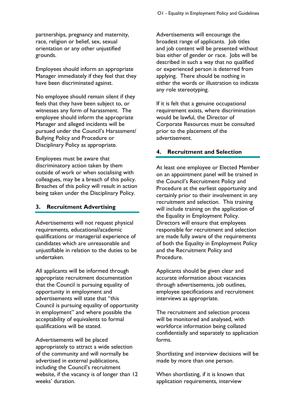partnerships, pregnancy and maternity, race, religion or belief, sex, sexual orientation or any other unjustified grounds.

Employees should inform an appropriate Manager immediately if they feel that they have been discriminated against.

No employee should remain silent if they feels that they have been subject to, or witnesses any form of harassment. The employee should inform the appropriate Manager and alleged incidents will be pursued under the Council's Harassment/ Bullying Policy and Procedure or Disciplinary Policy as appropriate.

Employees must be aware that discriminatory action taken by them outside of work or when socialising with colleagues, may be a breach of this policy. Breaches of this policy will result in action being taken under the Disciplinary Policy.

#### <span id="page-8-0"></span>**3. Recruitment Advertising**

Advertisements will not request physical requirements, educational/academic qualifications or managerial experience of candidates which are unreasonable and unjustifiable in relation to the duties to be undertaken.

All applicants will be informed through appropriate recruitment documentation that the Council is pursuing equality of opportunity in employment and advertisements will state that "this Council is pursuing equality of opportunity in employment" and where possible the acceptability of equivalents to formal qualifications will be stated.

Advertisements will be placed appropriately to attract a wide selection of the community and will normally be advertised in external publications, including the Council's recruitment website, if the vacancy is of longer than 12 weeks' duration.

Advertisements will encourage the broadest range of applicants. Job titles and job content will be presented without bias either of gender or race. Jobs will be described in such a way that no qualified or experienced person is deterred from applying. There should be nothing in either the words or illustration to indicate any role stereotyping.

If it is felt that a genuine occupational requirement exists, where discrimination would be lawful, the Director of Corporate Resources must be consulted prior to the placement of the advertisement.

#### <span id="page-8-1"></span>**4. Recruitment and Selection**

At least one employee or Elected Member on an appointment panel will be trained in the Council's Recruitment Policy and Procedure at the earliest opportunity and certainly prior to their involvement in any recruitment and selection. This training will include training on the application of the Equality in Employment Policy. Directors will ensure that employees responsible for recruitment and selection are made fully aware of the requirements of both the Equality in Employment Policy and the Recruitment Policy and Procedure.

Applicants should be given clear and accurate information about vacancies through advertisements, job outlines, employee specifications and recruitment interviews as appropriate.

The recruitment and selection process will be monitored and analysed, with workforce information being collated confidentially and separately to application forms.

Shortlisting and interview decisions will be made by more than one person.

When shortlisting, if it is known that application requirements, interview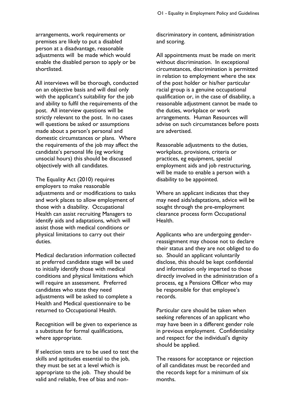arrangements, work requirements or premises are likely to put a disabled person at a disadvantage, reasonable adjustments will be made which would enable the disabled person to apply or be shortlisted.

All interviews will be thorough, conducted on an objective basis and will deal only with the applicant's suitability for the job and ability to fulfil the requirements of the post. All interview questions will be strictly relevant to the post. In no cases will questions be asked or assumptions made about a person's personal and domestic circumstances or plans. Where the requirements of the job may affect the candidate's personal life (eg working unsocial hours) this should be discussed objectively with all candidates.

The Equality Act (2010) requires employers to make reasonable adjustments and or modifications to tasks and work places to allow employment of those with a disability. Occupational Health can assist recruiting Managers to identify aids and adaptations, which will assist those with medical conditions or physical limitations to carry out their duties.

Medical declaration information collected at preferred candidate stage will be used to initially identify those with medical conditions and physical limitations which will require an assessment. Preferred candidates who state they need adjustments will be asked to complete a Health and Medical questionnaire to be returned to Occupational Health.

Recognition will be given to experience as a substitute for formal qualifications, where appropriate.

If selection tests are to be used to test the skills and aptitudes essential to the job, they must be set at a level which is appropriate to the job. They should be valid and reliable, free of bias and nondiscriminatory in content, administration and scoring.

All appointments must be made on merit without discrimination. In exceptional circumstances, discrimination is permitted in relation to employment where the sex of the post holder or his/her particular racial group is a genuine occupational qualification or, in the case of disability, a reasonable adjustment cannot be made to the duties, workplace or work arrangements. Human Resources will advise on such circumstances before posts are advertised.

Reasonable adjustments to the duties, workplace, provisions, criteria or practices, eg equipment, special employment aids and job restructuring, will be made to enable a person with a disability to be appointed.

Where an applicant indicates that they may need aids/adaptations, advice will be sought through the pre-employment clearance process form Occupational Health.

Applicants who are undergoing genderreassignment may choose not to declare their status and they are not obliged to do so. Should an applicant voluntarily disclose, this should be kept confidential and information only imparted to those directly involved in the administration of a process, eg a Pensions Officer who may be responsible for that employee's records.

Particular care should be taken when seeking references of an applicant who may have been in a different gender role in previous employment. Confidentiality and respect for the individual's dignity should be applied.

The reasons for acceptance or rejection of all candidates must be recorded and the records kept for a minimum of six months.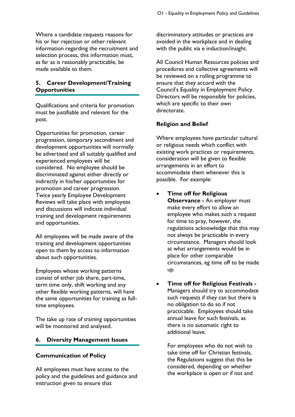Where a candidate requests reasons for his or her rejection or other relevant information regarding the recruitment and selection process, this information must, as far as is reasonably practicable, be made available to them.

#### <span id="page-10-0"></span>**5. Career Development/Training Opportunities**

Qualifications and criteria for promotion must be justifiable and relevant for the post.

Opportunities for promotion, career progression, temporary secondment and development opportunities will normally be advertised and all suitably qualified and experienced employees will be considered. No employee should be discriminated against either directly or indirectly in his/her opportunities for promotion and career progression. Twice yearly Employee Development Reviews will take place with employees and discussions will indicate individual training and development requirements and opportunities.

All employees will be made aware of the training and development opportunities open to them by access to information about such opportunities.

Employees whose working patterns consist of either job share, part-time, term time only, shift working and any other flexible working patterns, will have the same opportunities for training as fulltime employees.

The take up rate of training opportunities will be monitored and analysed.

#### <span id="page-10-1"></span>**6. Diversity Management Issues**

#### **Communication of Policy**

All employees must have access to the policy and the guidelines and guidance and instruction given to ensure that

discriminatory attitudes or practices are avoided in the workplace and in dealing with the public via e induction/insight.

All Council Human Resources policies and procedures and collective agreements will be reviewed on a rolling programme to ensure that they accord with the Council's Equality in Employment Policy. Directors will be responsible for policies, which are specific to their own directorate.

#### **Religion and Belief**

Where employees have particular cultural or religious needs which conflict with existing work practices or requirements, consideration will be given to flexible arrangements in an effort to accommodate them whenever this is possible. For example:

- **Time off for Religious Observance -** An employer must make every effort to allow an employee who makes such a request for time to pray, however, the regulations acknowledge that this may not always be practicable in every circumstance. Managers should look at what arrangements would be in place for other comparable circumstances, eg time off to be made up.
- **Time off for Religious Festivals -** Managers should try to accommodate such requests if they can but there is no obligation to do so if not practicable. Employees should take annual leave for such festivals, as there is no automatic right to additional leave.

For employees who do not wish to take time off for Christian festivals, the Regulations suggest that this be considered, depending on whether the workplace is open or if not and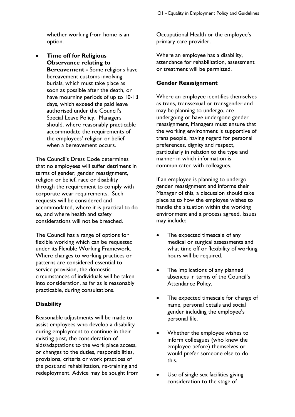whether working from home is an option.

 **Time off for Religious Observance relating to Bereavement -** Some religions have bereavement customs involving burials, which must take place as soon as possible after the death, or have mourning periods of up to 10-13 days, which exceed the paid leave authorised under the Council's Special Leave Policy. Managers should, where reasonably practicable accommodate the requirements of the employees' religion or belief when a bereavement occurs.

The Council's Dress Code determines that no employees will suffer detriment in terms of gender, gender reassignment, religion or belief, race or disability through the requirement to comply with corporate wear requirements. Such requests will be considered and accommodated, where it is practical to do so, and where health and safety considerations will not be breached.

The Council has a range of options for flexible working which can be requested under its Flexible Working Framework. Where changes to working practices or patterns are considered essential to service provision, the domestic circumstances of individuals will be taken into consideration, as far as is reasonably practicable, during consultations.

#### **Disability**

Reasonable adjustments will be made to assist employees who develop a disability during employment to continue in their existing post, the consideration of aids/adaptations to the work place access, or changes to the duties, responsibilities, provisions, criteria or work practices of the post and rehabilitation, re-training and redeployment. Advice may be sought from Occupational Health or the employee's primary care provider.

Where an employee has a disability, attendance for rehabilitation, assessment or treatment will be permitted.

#### **Gender Reassignment**

Where an employee identifies themselves as trans, transsexual or transgender and may be planning to undergo, are undergoing or have undergone gender reassignment, Managers must ensure that the working environment is supportive of trans people, having regard for personal preferences, dignity and respect, particularly in relation to the type and manner in which information is communicated with colleagues.

If an employee is planning to undergo gender reassignment and informs their Manager of this, a discussion should take place as to how the employee wishes to handle the situation within the working environment and a process agreed. Issues may include:

- The expected timescale of any medical or surgical assessments and what time off or flexibility of working hours will be required.
- The implications of any planned absences in terms of the Council's Attendance Policy.
- The expected timescale for change of name, personal details and social gender including the employee's personal file.
- Whether the employee wishes to inform colleagues (who knew the employee before) themselves or would prefer someone else to do this.
- Use of single sex facilities giving consideration to the stage of